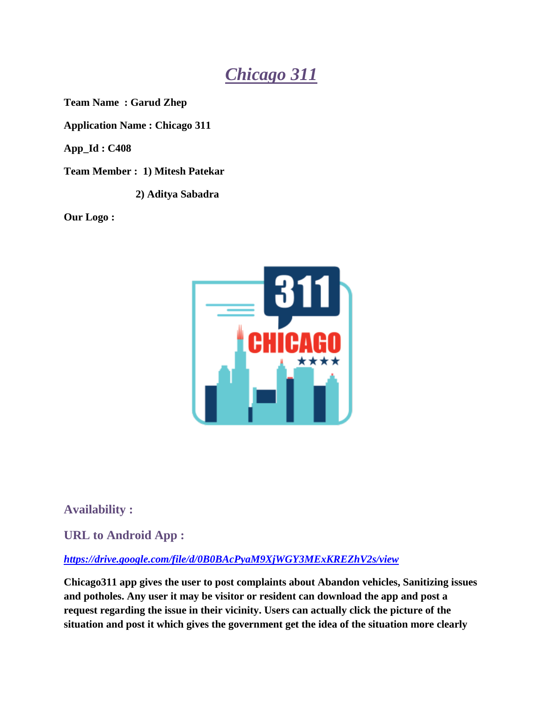*Chicago 311*

**Team Name : Garud Zhep**

**Application Name : Chicago 311**

**App\_Id : C408** 

**Team Member : 1) Mitesh Patekar**

 **2) Aditya Sabadra**

**Our Logo :** 



**Availability :** 

**URL to Android App :**

### *<https://drive.google.com/file/d/0B0BAcPyaM9XjWGY3MExKREZhV2s/view>*

**Chicago311 app gives the user to post complaints about Abandon vehicles, Sanitizing issues and potholes. Any user it may be visitor or resident can download the app and post a request regarding the issue in their vicinity. Users can actually click the picture of the situation and post it which gives the government get the idea of the situation more clearly**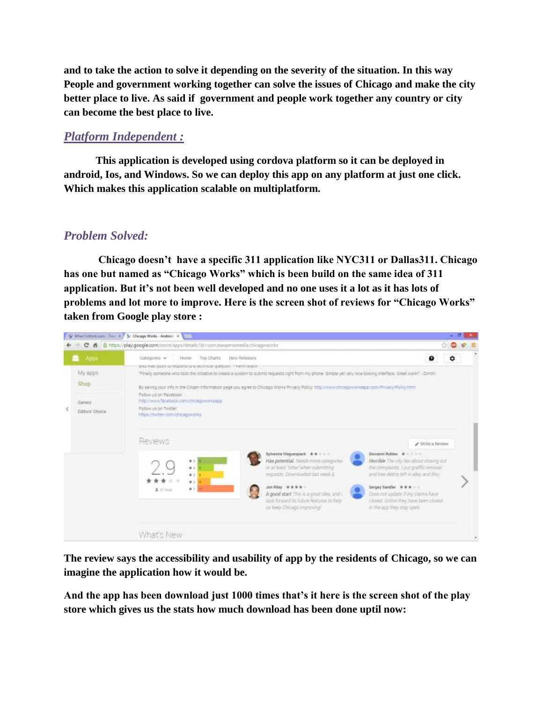**and to take the action to solve it depending on the severity of the situation. In this way People and government working together can solve the issues of Chicago and make the city better place to live. As said if government and people work together any country or city can become the best place to live.**

## *Platform Independent :*

**This application is developed using cordova platform so it can be deployed in android, Ios, and Windows. So we can deploy this app on any platform at just one click. Which makes this application scalable on multiplatform.**

## *Problem Solved:*

**Chicago doesn't have a specific 311 application like NYC311 or Dallas311. Chicago has one but named as "Chicago Works" which is been build on the same idea of 311 application. But it's not been well developed and no one uses it a lot as it has lots of problems and lot more to improve. Here is the screen shot of reviews for "Chicago Works" taken from Google play store :** 



**The review says the accessibility and usability of app by the residents of Chicago, so we can imagine the application how it would be.**

**And the app has been download just 1000 times that's it here is the screen shot of the play store which gives us the stats how much download has been done uptil now:**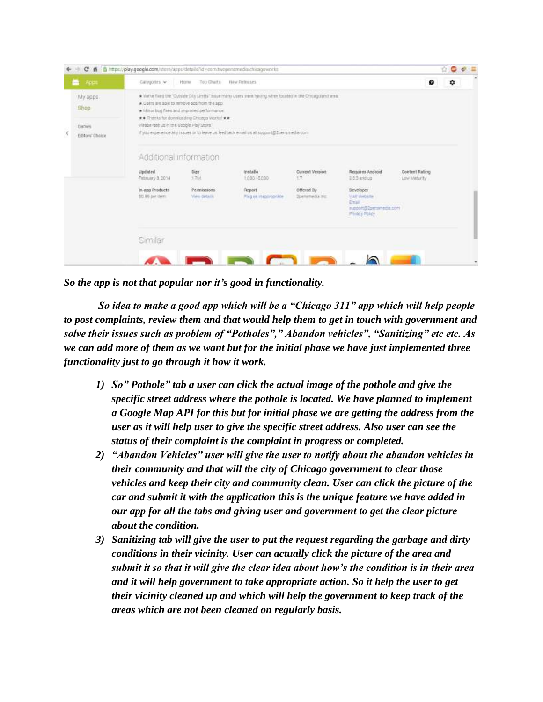|  |                                                            | C A B https://play.google.com/store/apps/details?id=com.twopensmedia.chicagovincks                                                                                                                                                                                                                                                                                                                                                                                                                                       |                                                     |                                                       |                                             |                                                                                        |                                |   |  |
|--|------------------------------------------------------------|--------------------------------------------------------------------------------------------------------------------------------------------------------------------------------------------------------------------------------------------------------------------------------------------------------------------------------------------------------------------------------------------------------------------------------------------------------------------------------------------------------------------------|-----------------------------------------------------|-------------------------------------------------------|---------------------------------------------|----------------------------------------------------------------------------------------|--------------------------------|---|--|
|  | Apps<br>e                                                  | Categories ~                                                                                                                                                                                                                                                                                                                                                                                                                                                                                                             | Top Chatts<br>Home                                  | Tiew Stelenses                                        |                                             |                                                                                        | 0                              | ٠ |  |
|  | My apps:<br><b>Shop</b><br><b>Sames</b><br>Editors' Choice | * We've fixed the "Outside Dity Limits" issue many users were having when located in the Ohicago and area.<br>* Libers are able to remove ads from the app.<br>* I linor bud fixes and improved performance.<br>** Thanks for downloading Chicago Works! **<br>Please rate us in the Boogle Play Store<br><b>AND CONTRACTOR</b><br>if you experience any issues or to lewie us feedback email us at support@Iberramedia.com<br>the control of the control of the control of the control of the control of the control of |                                                     |                                                       |                                             |                                                                                        |                                |   |  |
|  |                                                            | Additional information<br><b>Updated</b><br>February 8:2014                                                                                                                                                                                                                                                                                                                                                                                                                                                              | 520<br>1.7M                                         | metalls.<br>1000-5000                                 | <b>Ourrent Verstort</b><br>17               | Requires Android<br>2.3.5 and city                                                     | Content Rating<br>LOW Maturity |   |  |
|  |                                                            | in-app Products<br>31) Up per dem                                                                                                                                                                                                                                                                                                                                                                                                                                                                                        | Permissions<br><b>View details</b><br><b>ULWARD</b> | Report<br>Mag ex inappropriate<br><b>LANGUARDI II</b> | Offered $\exists \gamma$<br>20stamedia.inc. | Developer<br><b>Valt Website</b><br>Email<br>autoort@2perramedia.com<br>Printer Policy |                                |   |  |
|  |                                                            | Similar                                                                                                                                                                                                                                                                                                                                                                                                                                                                                                                  |                                                     |                                                       |                                             |                                                                                        |                                |   |  |
|  |                                                            |                                                                                                                                                                                                                                                                                                                                                                                                                                                                                                                          |                                                     |                                                       |                                             |                                                                                        |                                |   |  |

*So the app is not that popular nor it's good in functionality.*

*So idea to make a good app which will be a "Chicago 311" app which will help people to post complaints, review them and that would help them to get in touch with government and solve their issues such as problem of "Potholes"," Abandon vehicles", "Sanitizing" etc etc. As we can add more of them as we want but for the initial phase we have just implemented three functionality just to go through it how it work.* 

- *1) So" Pothole" tab a user can click the actual image of the pothole and give the specific street address where the pothole is located. We have planned to implement a Google Map API for this but for initial phase we are getting the address from the user as it will help user to give the specific street address. Also user can see the status of their complaint is the complaint in progress or completed.*
- *2) "Abandon Vehicles" user will give the user to notify about the abandon vehicles in their community and that will the city of Chicago government to clear those vehicles and keep their city and community clean. User can click the picture of the car and submit it with the application this is the unique feature we have added in our app for all the tabs and giving user and government to get the clear picture about the condition.*
- *3) Sanitizing tab will give the user to put the request regarding the garbage and dirty conditions in their vicinity. User can actually click the picture of the area and submit it so that it will give the clear idea about how's the condition is in their area and it will help government to take appropriate action. So it help the user to get their vicinity cleaned up and which will help the government to keep track of the areas which are not been cleaned on regularly basis.*